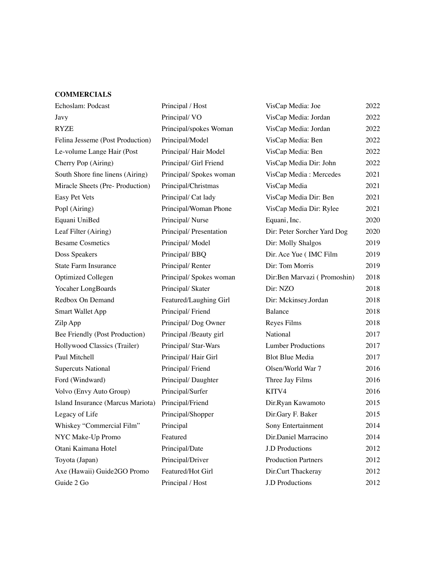#### **COMMERCIALS**

| Echoslam: Podcast                 | Principal / Host        | VisCap Media: Joe           | 2022 |
|-----------------------------------|-------------------------|-----------------------------|------|
| Javy                              | Principal/VO            | VisCap Media: Jordan        | 2022 |
| RYZE                              | Principal/spokes Woman  | VisCap Media: Jordan        | 2022 |
| Felina Jesseme (Post Production)  | Principal/Model         | VisCap Media: Ben           | 2022 |
| Le-volume Lange Hair (Post        | Principal/Hair Model    | VisCap Media: Ben           | 2022 |
| Cherry Pop (Airing)               | Principal/ Girl Friend  | VisCap Media Dir: John      | 2022 |
| South Shore fine linens (Airing)  | Principal/Spokes woman  | VisCap Media: Mercedes      | 2021 |
| Miracle Sheets (Pre- Production)  | Principal/Christmas     | VisCap Media                | 2021 |
| Easy Pet Vets                     | Principal/ Cat lady     | VisCap Media Dir: Ben       | 2021 |
| Popl (Airing)                     | Principal/Woman Phone   | VisCap Media Dir: Rylee     | 2021 |
| Equani UniBed                     | Principal/Nurse         | Equani, Inc.                | 2020 |
| Leaf Filter (Airing)              | Principal/ Presentation | Dir: Peter Sorcher Yard Dog | 2020 |
| <b>Besame Cosmetics</b>           | Principal/Model         | Dir: Molly Shalgos          | 2019 |
| Doss Speakers                     | Principal/BBQ           | Dir. Ace Yue (IMC Film      | 2019 |
| State Farm Insurance              | Principal/Renter        | Dir: Tom Morris             | 2019 |
| <b>Optimized Collegen</b>         | Principal/Spokes woman  | Dir:Ben Marvazi (Promoshin) | 2018 |
| Yocaher LongBoards                | Principal/ Skater       | Dir: NZO                    | 2018 |
| Redbox On Demand                  | Featured/Laughing Girl  | Dir: Mckinsey.Jordan        | 2018 |
| <b>Smart Wallet App</b>           | Principal/Friend        | Balance                     | 2018 |
| Zilp App                          | Principal/Dog Owner     | Reyes Films                 | 2018 |
| Bee Friendly (Post Production)    | Principal /Beauty girl  | National                    | 2017 |
| Hollywood Classics (Trailer)      | Principal/ Star-Wars    | <b>Lumber Productions</b>   | 2017 |
| Paul Mitchell                     | Principal/Hair Girl     | <b>Blot Blue Media</b>      | 2017 |
| <b>Supercuts National</b>         | Principal/Friend        | Olsen/World War 7           | 2016 |
| Ford (Windward)                   | Principal/Daughter      | Three Jay Films             | 2016 |
| Volvo (Envy Auto Group)           | Principal/Surfer        | KITV4                       | 2016 |
| Island Insurance (Marcus Mariota) | Principal/Friend        | Dir.Ryan Kawamoto           | 2015 |
| Legacy of Life                    | Principal/Shopper       | Dir.Gary F. Baker           | 2015 |
| Whiskey "Commercial Film"         | Principal               | Sony Entertainment          | 2014 |
| NYC Make-Up Promo                 | Featured                | Dir.Daniel Marracino        | 2014 |
| Otani Kaimana Hotel               | Principal/Date          | <b>J.D Productions</b>      | 2012 |
| Toyota (Japan)                    | Principal/Driver        | <b>Production Partners</b>  | 2012 |
| Axe (Hawaii) Guide2GO Promo       | Featured/Hot Girl       | Dir.Curt Thackeray          | 2012 |
| Guide 2 Go                        | Principal / Host        | <b>J.D Productions</b>      | 2012 |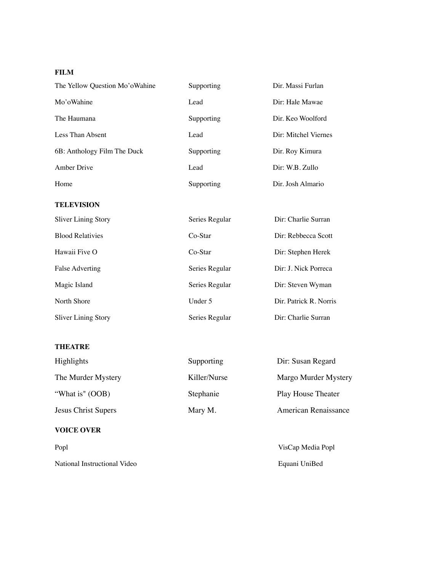# **FILM**

| The Yellow Ouestion Mo'o Wahine | Supporting | Dir. Massi Furlan    |
|---------------------------------|------------|----------------------|
| Mo'oWahine                      | Lead       | Dir: Hale Mawae      |
| The Haumana                     | Supporting | Dir. Keo Woolford    |
| Less Than Absent                | Lead       | Dir: Mitchel Viernes |
| 6B: Anthology Film The Duck     | Supporting | Dir. Roy Kimura      |
| Amber Drive                     | Lead       | Dir: W.B. Zullo      |
| Home                            | Supporting | Dir. Josh Almario    |

#### **TELEVISION**

| <b>Sliver Lining Story</b> | Series Regular | Dir: Charlie Surran    |
|----------------------------|----------------|------------------------|
| <b>Blood Relativies</b>    | Co-Star        | Dir: Rebbecca Scott    |
| Hawaii Five O              | Co-Star        | Dir: Stephen Herek     |
| False Adverting            | Series Regular | Dir: J. Nick Porreca   |
| Magic Island               | Series Regular | Dir: Steven Wyman      |
| North Shore                | Under 5        | Dir. Patrick R. Norris |
| <b>Sliver Lining Story</b> | Series Regular | Dir: Charlie Surran    |

#### **THEATRE**

| Highlights          | Supporting   | Dir: Susan Regard         |
|---------------------|--------------|---------------------------|
| The Murder Mystery  | Killer/Nurse | Margo Murder Mystery      |
| "What is" (OOB)     | Stephanie    | <b>Play House Theater</b> |
| Jesus Christ Supers | Mary M.      | American Renaissance      |

## **VOICE OVER**

| Popl                         | VisCap Media Popl |
|------------------------------|-------------------|
| National Instructional Video | Equani UniBed     |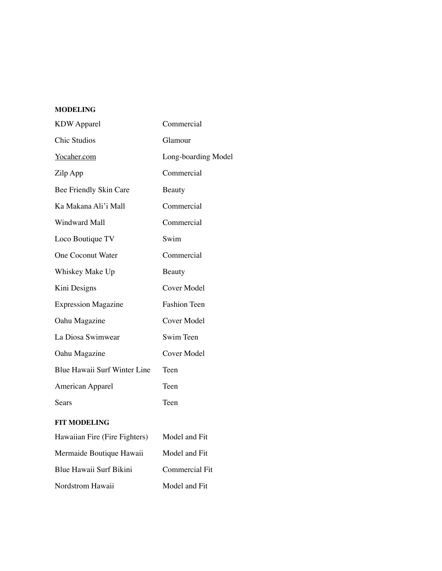## **MODELING**

| <b>KDW</b> Apparel            | Commercial            |
|-------------------------------|-----------------------|
| <b>Chic Studios</b>           | Glamour               |
| Yocaher.com                   | Long-boarding Model   |
| Zilp App                      | Commercial            |
| Bee Friendly Skin Care        | Beauty                |
| Ka Makana Ali'i Mall          | Commercial            |
| Windward Mall                 | Commercial            |
| Loco Boutique TV              | Swim                  |
| <b>One Coconut Water</b>      | Commercial            |
| Whiskey Make Up               | Beauty                |
| Kini Designs                  | Cover Model           |
| <b>Expression Magazine</b>    | <b>Fashion Teen</b>   |
| Oahu Magazine                 | Cover Model           |
| La Diosa Swimwear             | Swim Teen             |
| Oahu Magazine                 | <b>Cover Model</b>    |
| Blue Hawaii Surf Winter Line  | Teen                  |
| American Apparel              | Teen                  |
| Sears                         | Teen                  |
| <b>FIT MODELING</b>           |                       |
| Hawaiian Fire (Fire Fighters) | Model and Fit         |
| Mermaide Boutique Hawaii      | Model and Fit         |
| Blue Hawaii Surf Bikini       | <b>Commercial Fit</b> |
| Nordstrom Hawaii              | Model and Fit         |